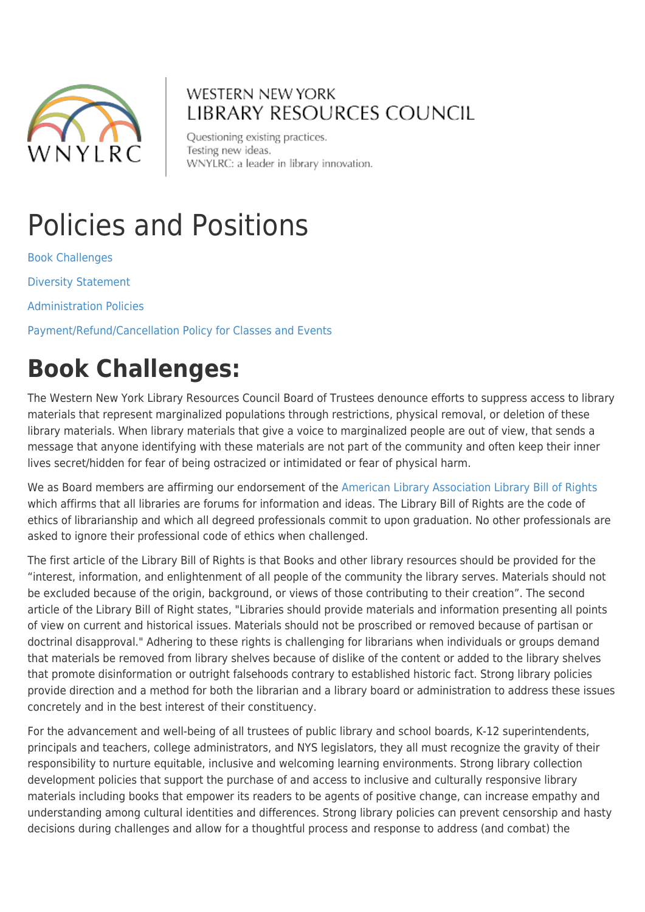

### **WESTERN NEW YORK LIBRARY RESOURCES COUNCIL**

Questioning existing practices. Testing new ideas. WNYLRC: a leader in library innovation.

# Policies and Positions

[Book Challenges](#page--1-0) [Diversity Statement](#page--1-0) [Administration Policies](#page--1-0)

[Payment/Refund/Cancellation Policy for Classes and Events](#page--1-0)

### **Book Challenges:**

The Western New York Library Resources Council Board of Trustees denounce efforts to suppress access to library materials that represent marginalized populations through restrictions, physical removal, or deletion of these library materials. When library materials that give a voice to marginalized people are out of view, that sends a message that anyone identifying with these materials are not part of the community and often keep their inner lives secret/hidden for fear of being ostracized or intimidated or fear of physical harm.

We as Board members are affirming our endorsement of the [American Library Association Library Bill of Rights](https://www.ala.org/advocacy/intfreedom/statement/opposition-censorship-racial-injustice-black-history-diversity-education) which affirms that all libraries are forums for information and ideas. The Library Bill of Rights are the code of ethics of librarianship and which all degreed professionals commit to upon graduation. No other professionals are asked to ignore their professional code of ethics when challenged.

The first article of the Library Bill of Rights is that Books and other library resources should be provided for the "interest, information, and enlightenment of all people of the community the library serves. Materials should not be excluded because of the origin, background, or views of those contributing to their creation". The second article of the Library Bill of Right states, "Libraries should provide materials and information presenting all points of view on current and historical issues. Materials should not be proscribed or removed because of partisan or doctrinal disapproval." Adhering to these rights is challenging for librarians when individuals or groups demand that materials be removed from library shelves because of dislike of the content or added to the library shelves that promote disinformation or outright falsehoods contrary to established historic fact. Strong library policies provide direction and a method for both the librarian and a library board or administration to address these issues concretely and in the best interest of their constituency.

For the advancement and well-being of all trustees of public library and school boards, K-12 superintendents, principals and teachers, college administrators, and NYS legislators, they all must recognize the gravity of their responsibility to nurture equitable, inclusive and welcoming learning environments. Strong library collection development policies that support the purchase of and access to inclusive and culturally responsive library materials including books that empower its readers to be agents of positive change, can increase empathy and understanding among cultural identities and differences. Strong library policies can prevent censorship and hasty decisions during challenges and allow for a thoughtful process and response to address (and combat) the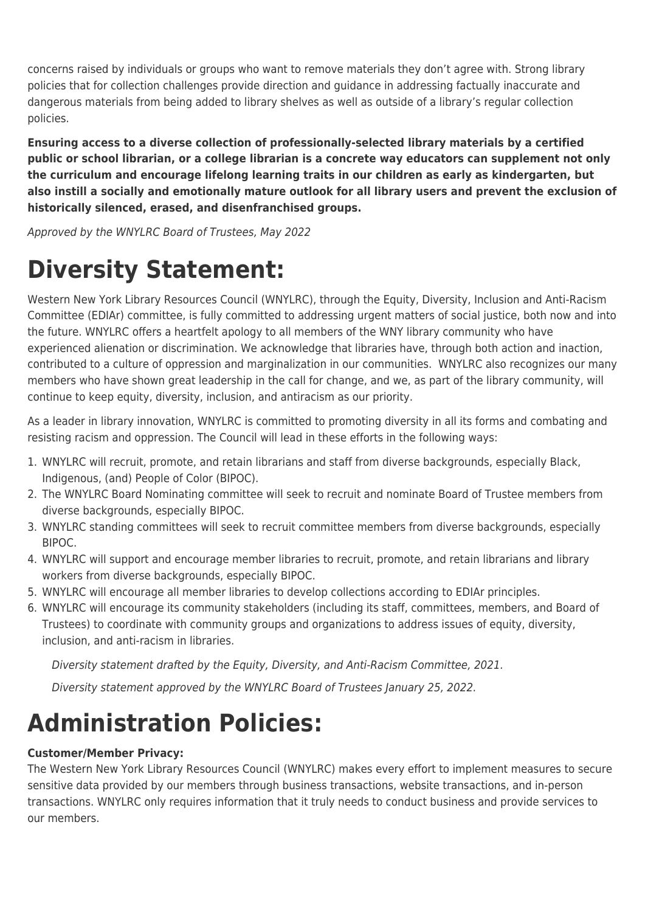concerns raised by individuals or groups who want to remove materials they don't agree with. Strong library policies that for collection challenges provide direction and guidance in addressing factually inaccurate and dangerous materials from being added to library shelves as well as outside of a library's regular collection policies.

**Ensuring access to a diverse collection of professionally-selected library materials by a certified public or school librarian, or a college librarian is a concrete way educators can supplement not only the curriculum and encourage lifelong learning traits in our children as early as kindergarten, but also instill a socially and emotionally mature outlook for all library users and prevent the exclusion of historically silenced, erased, and disenfranchised groups.**

Approved by the WNYLRC Board of Trustees, May 2022

## **Diversity Statement:**

Western New York Library Resources Council (WNYLRC), through the Equity, Diversity, Inclusion and Anti-Racism Committee (EDIAr) committee, is fully committed to addressing urgent matters of social justice, both now and into the future. WNYLRC offers a heartfelt apology to all members of the WNY library community who have experienced alienation or discrimination. We acknowledge that libraries have, through both action and inaction, contributed to a culture of oppression and marginalization in our communities. WNYLRC also recognizes our many members who have shown great leadership in the call for change, and we, as part of the library community, will continue to keep equity, diversity, inclusion, and antiracism as our priority.

As a leader in library innovation, WNYLRC is committed to promoting diversity in all its forms and combating and resisting racism and oppression. The Council will lead in these efforts in the following ways:

- 1. WNYLRC will recruit, promote, and retain librarians and staff from diverse backgrounds, especially Black, Indigenous, (and) People of Color (BIPOC).
- 2. The WNYLRC Board Nominating committee will seek to recruit and nominate Board of Trustee members from diverse backgrounds, especially BIPOC.
- 3. WNYLRC standing committees will seek to recruit committee members from diverse backgrounds, especially BIPOC.
- 4. WNYLRC will support and encourage member libraries to recruit, promote, and retain librarians and library workers from diverse backgrounds, especially BIPOC.
- 5. WNYLRC will encourage all member libraries to develop collections according to EDIAr principles.
- 6. WNYLRC will encourage its community stakeholders (including its staff, committees, members, and Board of Trustees) to coordinate with community groups and organizations to address issues of equity, diversity, inclusion, and anti-racism in libraries.

Diversity statement drafted by the Equity, Diversity, and Anti-Racism Committee, 2021.

Diversity statement approved by the WNYLRC Board of Trustees January 25, 2022.

### **Administration Policies:**

#### **Customer/Member Privacy:**

The Western New York Library Resources Council (WNYLRC) makes every effort to implement measures to secure sensitive data provided by our members through business transactions, website transactions, and in-person transactions. WNYLRC only requires information that it truly needs to conduct business and provide services to our members.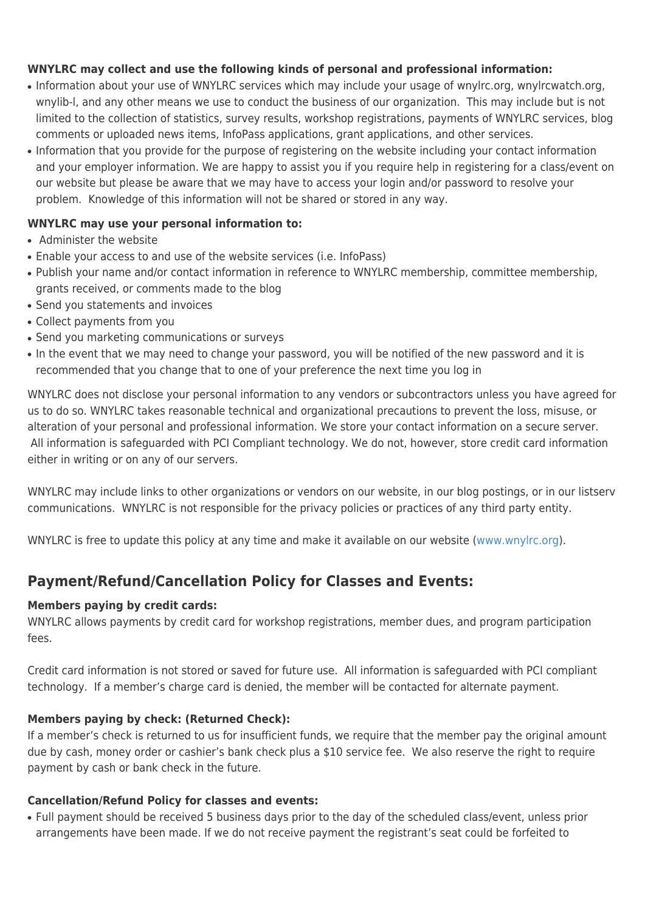#### **WNYLRC may collect and use the following kinds of personal and professional information:**

- Information about your use of WNYLRC services which may include your usage of wnylrc.org, wnylrcwatch.org, wnylib-l, and any other means we use to conduct the business of our organization. This may include but is not limited to the collection of statistics, survey results, workshop registrations, payments of WNYLRC services, blog comments or uploaded news items, InfoPass applications, grant applications, and other services.
- Information that you provide for the purpose of registering on the website including your contact information and your employer information. We are happy to assist you if you require help in registering for a class/event on our website but please be aware that we may have to access your login and/or password to resolve your problem. Knowledge of this information will not be shared or stored in any way.

#### **WNYLRC may use your personal information to:**

- Administer the website
- Enable your access to and use of the website services (i.e. InfoPass)
- Publish your name and/or contact information in reference to WNYLRC membership, committee membership, grants received, or comments made to the blog
- Send you statements and invoices
- Collect payments from you
- Send you marketing communications or surveys
- In the event that we may need to change your password, you will be notified of the new password and it is recommended that you change that to one of your preference the next time you log in

WNYLRC does not disclose your personal information to any vendors or subcontractors unless you have agreed for us to do so. WNYLRC takes reasonable technical and organizational precautions to prevent the loss, misuse, or alteration of your personal and professional information. We store your contact information on a secure server. All information is safeguarded with PCI Compliant technology. We do not, however, store credit card information either in writing or on any of our servers.

WNYLRC may include links to other organizations or vendors on our website, in our blog postings, or in our listserv communications. WNYLRC is not responsible for the privacy policies or practices of any third party entity.

WNYLRC is free to update this policy at any time and make it available on our website [\(www.wnylrc.org](http://www.wnylrc.org/)).

#### **Payment/Refund/Cancellation Policy for Classes and Events:**

#### **Members paying by credit cards:**

WNYLRC allows payments by credit card for workshop registrations, member dues, and program participation fees.

Credit card information is not stored or saved for future use. All information is safeguarded with PCI compliant technology. If a member's charge card is denied, the member will be contacted for alternate payment.

#### **Members paying by check: (Returned Check):**

If a member's check is returned to us for insufficient funds, we require that the member pay the original amount due by cash, money order or cashier's bank check plus a \$10 service fee. We also reserve the right to require payment by cash or bank check in the future.

#### **Cancellation/Refund Policy for classes and events:**

● Full payment should be received 5 business days prior to the day of the scheduled class/event, unless prior arrangements have been made. If we do not receive payment the registrant's seat could be forfeited to